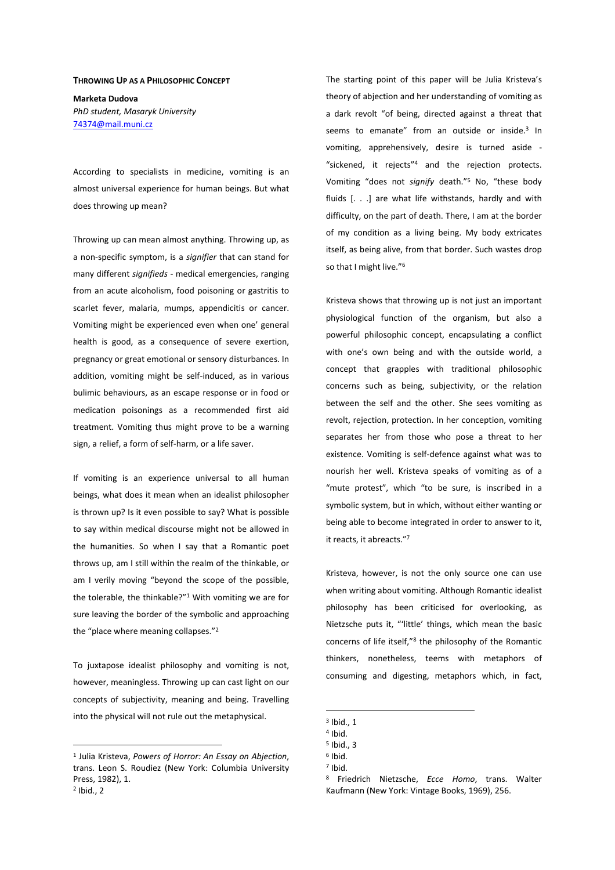## **THROWING UP AS A PHILOSOPHIC CONCEPT**

**Marketa Dudova**  *PhD student, Masaryk University*  74374@mail.muni.cz

According to specialists in medicine, vomiting is an almost universal experience for human beings. But what does throwing up mean?

Throwing up can mean almost anything. Throwing up, as a non-specific symptom, is a *signifier* that can stand for many different *signifieds* - medical emergencies, ranging from an acute alcoholism, food poisoning or gastritis to scarlet fever, malaria, mumps, appendicitis or cancer. Vomiting might be experienced even when one' general health is good, as a consequence of severe exertion, pregnancy or great emotional or sensory disturbances. In addition, vomiting might be self-induced, as in various bulimic behaviours, as an escape response or in food or medication poisonings as a recommended first aid treatment. Vomiting thus might prove to be a warning sign, a relief, a form of self-harm, or a life saver.

If vomiting is an experience universal to all human beings, what does it mean when an idealist philosopher is thrown up? Is it even possible to say? What is possible to say within medical discourse might not be allowed in the humanities. So when I say that a Romantic poet throws up, am I still within the realm of the thinkable, or am I verily moving "beyond the scope of the possible, the tolerable, the thinkable?"<sup>1</sup> With vomiting we are for sure leaving the border of the symbolic and approaching the "place where meaning collapses."<sup>2</sup>

To juxtapose idealist philosophy and vomiting is not, however, meaningless. Throwing up can cast light on our concepts of subjectivity, meaning and being. Travelling into the physical will not rule out the metaphysical.

 $\overline{a}$ 

The starting point of this paper will be Julia Kristeva's theory of abjection and her understanding of vomiting as a dark revolt "of being, directed against a threat that seems to emanate" from an outside or inside.<sup>3</sup> In vomiting, apprehensively, desire is turned aside - "sickened, it rejects"<sup>4</sup> and the rejection protects. Vomiting "does not *signify* death."<sup>5</sup> No, "these body fluids [. . .] are what life withstands, hardly and with difficulty, on the part of death. There, I am at the border of my condition as a living being. My body extricates itself, as being alive, from that border. Such wastes drop so that I might live."<sup>6</sup>

Kristeva shows that throwing up is not just an important physiological function of the organism, but also a powerful philosophic concept, encapsulating a conflict with one's own being and with the outside world, a concept that grapples with traditional philosophic concerns such as being, subjectivity, or the relation between the self and the other. She sees vomiting as revolt, rejection, protection. In her conception, vomiting separates her from those who pose a threat to her existence. Vomiting is self-defence against what was to nourish her well. Kristeva speaks of vomiting as of a "mute protest", which "to be sure, is inscribed in a symbolic system, but in which, without either wanting or being able to become integrated in order to answer to it, it reacts, it abreacts."<sup>7</sup>

Kristeva, however, is not the only source one can use when writing about vomiting. Although Romantic idealist philosophy has been criticised for overlooking, as Nietzsche puts it, "'little' things, which mean the basic concerns of life itself,"<sup>8</sup> the philosophy of the Romantic thinkers, nonetheless, teems with metaphors of consuming and digesting, metaphors which, in fact,

<sup>1</sup> Julia Kristeva, *Powers of Horror: An Essay on Abjection*, trans. Leon S. Roudiez (New York: Columbia University Press, 1982), 1.  $<sup>2</sup>$  Ibid., 2</sup>

 $3$  Ibid., 1

<sup>4</sup> Ibid.

<sup>5</sup> Ibid., 3

<sup>6</sup> Ibid.

<sup>7</sup> Ibid.

<sup>8</sup> Friedrich Nietzsche, *Ecce Homo*, trans. Walter Kaufmann (New York: Vintage Books, 1969), 256.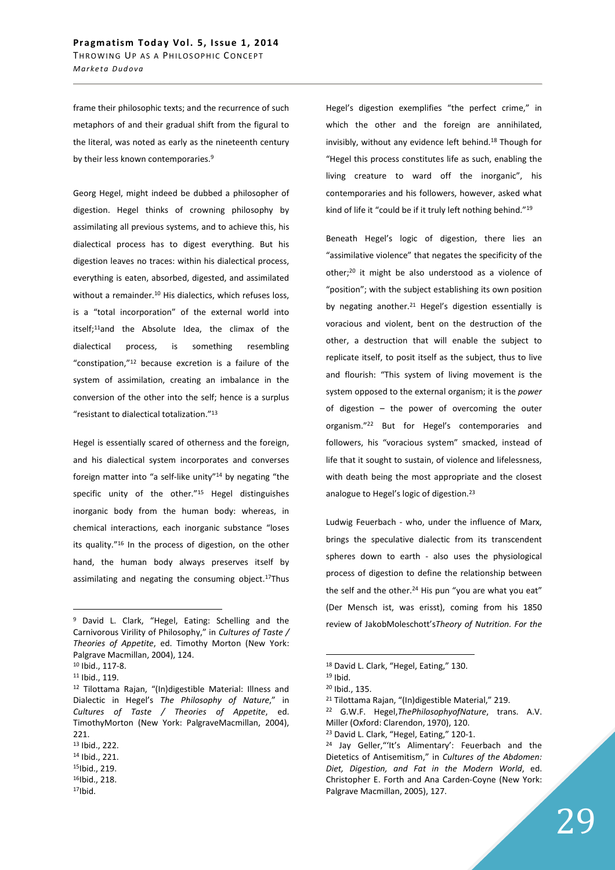frame their philosophic texts; and the recurrence of such metaphors of and their gradual shift from the figural to the literal, was noted as early as the nineteenth century by their less known contemporaries.<sup>9</sup>

Georg Hegel, might indeed be dubbed a philosopher of digestion. Hegel thinks of crowning philosophy by assimilating all previous systems, and to achieve this, his dialectical process has to digest everything. But his digestion leaves no traces: within his dialectical process, everything is eaten, absorbed, digested, and assimilated without a remainder.<sup>10</sup> His dialectics, which refuses loss, is a "total incorporation" of the external world into itself;<sup>11</sup>and the Absolute Idea, the climax of the dialectical process, is something resembling "constipation,"<sup>12</sup> because excretion is a failure of the system of assimilation, creating an imbalance in the conversion of the other into the self; hence is a surplus "resistant to dialectical totalization."<sup>13</sup>

Hegel is essentially scared of otherness and the foreign, and his dialectical system incorporates and converses foreign matter into "a self-like unity"<sup>14</sup> by negating "the specific unity of the other."<sup>15</sup> Hegel distinguishes inorganic body from the human body: whereas, in chemical interactions, each inorganic substance "loses its quality."<sup>16</sup> In the process of digestion, on the other hand, the human body always preserves itself by assimilating and negating the consuming object.<sup>17</sup>Thus

 $\overline{a}$ 

Hegel's digestion exemplifies "the perfect crime," in which the other and the foreign are annihilated, invisibly, without any evidence left behind.<sup>18</sup> Though for "Hegel this process constitutes life as such, enabling the living creature to ward off the inorganic", his contemporaries and his followers, however, asked what kind of life it "could be if it truly left nothing behind."<sup>19</sup>

Beneath Hegel's logic of digestion, there lies an "assimilative violence" that negates the specificity of the other;<sup>20</sup> it might be also understood as a violence of "position"; with the subject establishing its own position by negating another.<sup>21</sup> Hegel's digestion essentially is voracious and violent, bent on the destruction of the other, a destruction that will enable the subject to replicate itself, to posit itself as the subject, thus to live and flourish: "This system of living movement is the system opposed to the external organism; it is the *power*  of digestion – the power of overcoming the outer organism."<sup>22</sup> But for Hegel's contemporaries and followers, his "voracious system" smacked, instead of life that it sought to sustain, of violence and lifelessness, with death being the most appropriate and the closest analogue to Hegel's logic of digestion.<sup>23</sup>

Ludwig Feuerbach - who, under the influence of Marx, brings the speculative dialectic from its transcendent spheres down to earth - also uses the physiological process of digestion to define the relationship between the self and the other. $24$  His pun "you are what you eat" (Der Mensch ist, was erisst), coming from his 1850 review of JakobMoleschott's*Theory of Nutrition. For the* 

<sup>&</sup>lt;sup>9</sup> David L. Clark, "Hegel, Eating: Schelling and the Carnivorous Virility of Philosophy," in *Cultures of Taste / Theories of Appetite*, ed. Timothy Morton (New York: Palgrave Macmillan, 2004), 124.

<sup>10</sup> Ibid., 117-8.

<sup>11</sup> Ibid., 119.

<sup>12</sup> Tilottama Rajan, "(In)digestible Material: Illness and Dialectic in Hegel's *The Philosophy of Nature*," in *Cultures of Taste / Theories of Appetite*, ed. TimothyMorton (New York: PalgraveMacmillan, 2004), 221.

<sup>13</sup> Ibid., 222.

<sup>14</sup> Ibid., 221.

<sup>15</sup>Ibid., 219. <sup>16</sup>Ibid., 218.

<sup>17</sup>Ibid.

<sup>18</sup> David L. Clark, "Hegel, Eating," 130.

<sup>19</sup> Ibid.

<sup>20</sup> Ibid., 135.

<sup>21</sup> Tilottama Rajan, "(In)digestible Material," 219.

<sup>22</sup> G.W.F. Hegel,*ThePhilosophyofNature*, trans. A.V. Miller (Oxford: Clarendon, 1970), 120.

<sup>&</sup>lt;sup>23</sup> David L. Clark, "Hegel, Eating," 120-1.

<sup>&</sup>lt;sup>24</sup> Jay Geller, "'It's Alimentary': Feuerbach and the Dietetics of Antisemitism," in *Cultures of the Abdomen: Diet, Digestion, and Fat in the Modern World*, ed. Christopher E. Forth and Ana Carden-Coyne (New York: Palgrave Macmillan, 2005), 127.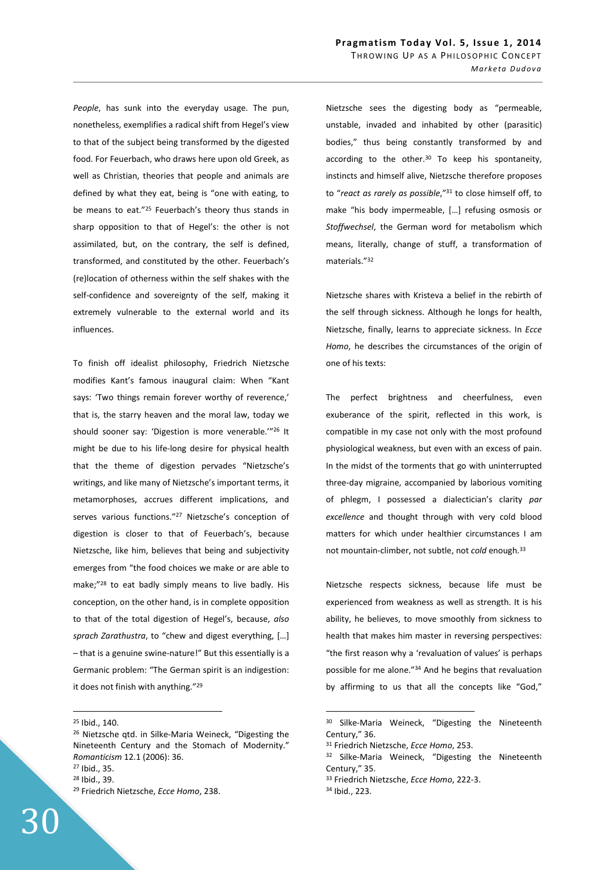*People*, has sunk into the everyday usage. The pun, nonetheless, exemplifies a radical shift from Hegel's view to that of the subject being transformed by the digested food. For Feuerbach, who draws here upon old Greek, as well as Christian, theories that people and animals are defined by what they eat, being is "one with eating, to be means to eat."<sup>25</sup> Feuerbach's theory thus stands in sharp opposition to that of Hegel's: the other is not assimilated, but, on the contrary, the self is defined, transformed, and constituted by the other. Feuerbach's (re)location of otherness within the self shakes with the self-confidence and sovereignty of the self, making it extremely vulnerable to the external world and its influences.

To finish off idealist philosophy, Friedrich Nietzsche modifies Kant's famous inaugural claim: When "Kant says: 'Two things remain forever worthy of reverence,' that is, the starry heaven and the moral law, today we should sooner say: 'Digestion is more venerable.'"<sup>26</sup> It might be due to his life-long desire for physical health that the theme of digestion pervades "Nietzsche's writings, and like many of Nietzsche's important terms, it metamorphoses, accrues different implications, and serves various functions."<sup>27</sup> Nietzsche's conception of digestion is closer to that of Feuerbach's, because Nietzsche, like him, believes that being and subjectivity emerges from "the food choices we make or are able to make;"<sup>28</sup> to eat badly simply means to live badly. His conception, on the other hand, is in complete opposition to that of the total digestion of Hegel's, because, *also sprach Zarathustra*, to "chew and digest everything, […] – that is a genuine swine-nature!" But this essentially is a Germanic problem: "The German spirit is an indigestion: it does not finish with anything."<sup>29</sup>

 $\overline{a}$ 

<sup>29</sup> Friedrich Nietzsche, *Ecce Homo*, 238.



Nietzsche sees the digesting body as "permeable, unstable, invaded and inhabited by other (parasitic) bodies," thus being constantly transformed by and according to the other. $30$  To keep his spontaneity, instincts and himself alive, Nietzsche therefore proposes to "*react as rarely as possible*,"<sup>31</sup> to close himself off, to make "his body impermeable, […] refusing osmosis or *Stoffwechsel*, the German word for metabolism which means, literally, change of stuff, a transformation of materials."<sup>32</sup>

Nietzsche shares with Kristeva a belief in the rebirth of the self through sickness. Although he longs for health, Nietzsche, finally, learns to appreciate sickness. In *Ecce Homo*, he describes the circumstances of the origin of one of his texts:

The perfect brightness and cheerfulness, even exuberance of the spirit, reflected in this work, is compatible in my case not only with the most profound physiological weakness, but even with an excess of pain. In the midst of the torments that go with uninterrupted three-day migraine, accompanied by laborious vomiting of phlegm, I possessed a dialectician's clarity *par excellence* and thought through with very cold blood matters for which under healthier circumstances I am not mountain-climber, not subtle, not *cold* enough.<sup>33</sup>

Nietzsche respects sickness, because life must be experienced from weakness as well as strength. It is his ability, he believes, to move smoothly from sickness to health that makes him master in reversing perspectives: "the first reason why a 'revaluation of values' is perhaps possible for me alone."<sup>34</sup> And he begins that revaluation by affirming to us that all the concepts like "God,"

<sup>33</sup> Friedrich Nietzsche, *Ecce Homo*, 222-3.

<sup>25</sup> Ibid., 140.

<sup>26</sup> Nietzsche qtd. in Silke-Maria Weineck, "Digesting the Nineteenth Century and the Stomach of Modernity." *Romanticism* 12.1 (2006): 36. <sup>27</sup> Ibid., 35.

<sup>28</sup> Ibid., 39.

<sup>30</sup> Silke-Maria Weineck, "Digesting the Nineteenth Century," 36.

<sup>31</sup> Friedrich Nietzsche, *Ecce Homo*, 253.

<sup>&</sup>lt;sup>32</sup> Silke-Maria Weineck, "Digesting the Nineteenth Century," 35.

<sup>34</sup> Ibid., 223.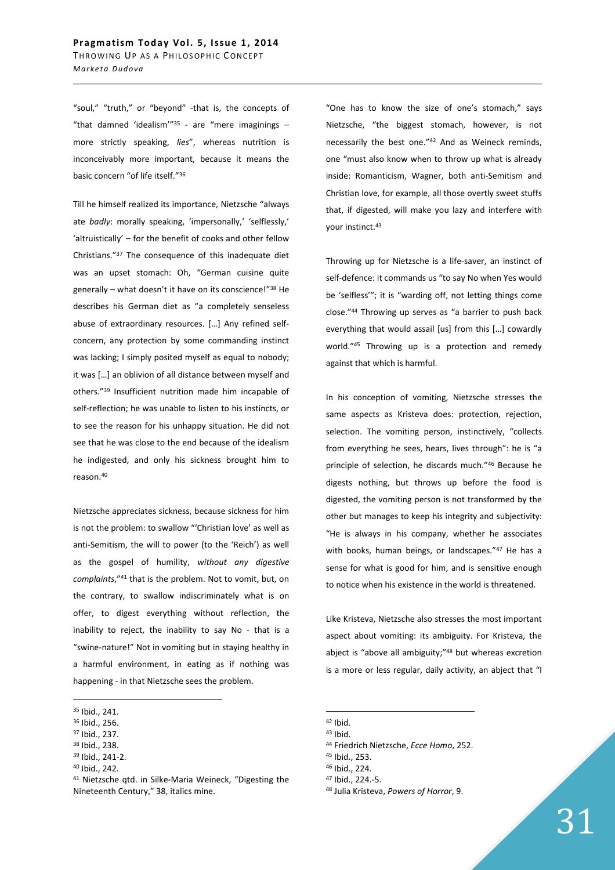"soul," "truth," or "beyond" -that is, the concepts of "that damned 'idealism"<sup>35</sup> - are "mere imaginings  $$ more strictly speaking, *lies*", whereas nutrition is inconceivably more important, because it means the basic concern "of life itself."<sup>36</sup>

Till he himself realized its importance, Nietzsche "always ate *badly*: morally speaking, 'impersonally,' 'selflessly,' 'altruistically' – for the benefit of cooks and other fellow Christians."<sup>37</sup> The consequence of this inadequate diet was an upset stomach: Oh, "German cuisine quite generally - what doesn't it have on its conscience!"<sup>38</sup> He describes his German diet as "a completely senseless abuse of extraordinary resources. […] Any refined selfconcern, any protection by some commanding instinct was lacking; I simply posited myself as equal to nobody; it was […] an oblivion of all distance between myself and others."<sup>39</sup> Insufficient nutrition made him incapable of self-reflection; he was unable to listen to his instincts, or to see the reason for his unhappy situation. He did not see that he was close to the end because of the idealism he indigested, and only his sickness brought him to reason.<sup>40</sup>

Nietzsche appreciates sickness, because sickness for him is not the problem: to swallow "'Christian love' as well as anti-Semitism, the will to power (to the 'Reich') as well as the gospel of humility, *without any digestive complaints*,"<sup>41</sup> that is the problem. Not to vomit, but, on the contrary, to swallow indiscriminately what is on offer, to digest everything without reflection, the inability to reject, the inability to say No - that is a "swine-nature!" Not in vomiting but in staying healthy in a harmful environment, in eating as if nothing was happening - in that Nietzsche sees the problem.

 $\overline{a}$ 

- <sup>38</sup> Ibid., 238.
- <sup>39</sup> Ibid., 241-2.
- <sup>40</sup> Ibid., 242.

"One has to know the size of one's stomach," says Nietzsche, "the biggest stomach, however, is not necessarily the best one."<sup>42</sup> And as Weineck reminds, one "must also know when to throw up what is already inside: Romanticism, Wagner, both anti-Semitism and Christian love, for example, all those overtly sweet stuffs that, if digested, will make you lazy and interfere with your instinct.<sup>43</sup>

Throwing up for Nietzsche is a life-saver, an instinct of self-defence: it commands us "to say No when Yes would be 'selfless'"; it is "warding off, not letting things come close."<sup>44</sup> Throwing up serves as "a barrier to push back everything that would assail [us] from this […] cowardly world."<sup>45</sup> Throwing up is a protection and remedy against that which is harmful.

In his conception of vomiting, Nietzsche stresses the same aspects as Kristeva does: protection, rejection, selection. The vomiting person, instinctively, "collects from everything he sees, hears, lives through": he is "a principle of selection, he discards much."<sup>46</sup> Because he digests nothing, but throws up before the food is digested, the vomiting person is not transformed by the other but manages to keep his integrity and subjectivity: "He is always in his company, whether he associates with books, human beings, or landscapes."<sup>47</sup> He has a sense for what is good for him, and is sensitive enough to notice when his existence in the world is threatened.

Like Kristeva, Nietzsche also stresses the most important aspect about vomiting: its ambiguity. For Kristeva, the abject is "above all ambiguity;"<sup>48</sup> but whereas excretion is a more or less regular, daily activity, an abject that "I

 $\overline{a}$ 

<sup>47</sup> Ibid., 224.-5.

<sup>35</sup> Ibid., 241.

<sup>36</sup> Ibid., 256.

<sup>37</sup> Ibid., 237.

<sup>41</sup> Nietzsche qtd. in Silke-Maria Weineck, "Digesting the Nineteenth Century," 38, italics mine.

<sup>42</sup> Ibid.

<sup>43</sup> Ibid.

<sup>44</sup> Friedrich Nietzsche, *Ecce Homo*, 252.

<sup>45</sup> Ibid., 253.

<sup>46</sup> Ibid., 224.

<sup>48</sup> Julia Kristeva, *Powers of Horror*, 9.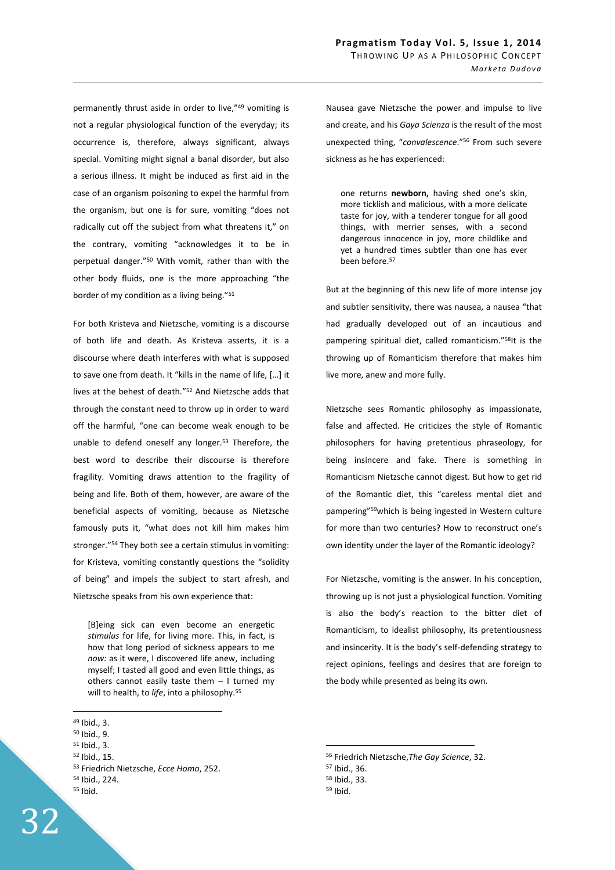permanently thrust aside in order to live,"<sup>49</sup> vomiting is not a regular physiological function of the everyday; its occurrence is, therefore, always significant, always special. Vomiting might signal a banal disorder, but also a serious illness. It might be induced as first aid in the case of an organism poisoning to expel the harmful from the organism, but one is for sure, vomiting "does not radically cut off the subject from what threatens it," on the contrary, vomiting "acknowledges it to be in perpetual danger."<sup>50</sup> With vomit, rather than with the other body fluids, one is the more approaching "the border of my condition as a living being."<sup>51</sup>

For both Kristeva and Nietzsche, vomiting is a discourse of both life and death. As Kristeva asserts, it is a discourse where death interferes with what is supposed to save one from death. It "kills in the name of life, […] it lives at the behest of death."<sup>52</sup> And Nietzsche adds that through the constant need to throw up in order to ward off the harmful, "one can become weak enough to be unable to defend oneself any longer.<sup>53</sup> Therefore, the best word to describe their discourse is therefore fragility. Vomiting draws attention to the fragility of being and life. Both of them, however, are aware of the beneficial aspects of vomiting, because as Nietzsche famously puts it, "what does not kill him makes him stronger."<sup>54</sup> They both see a certain stimulus in vomiting: for Kristeva, vomiting constantly questions the "solidity of being" and impels the subject to start afresh, and Nietzsche speaks from his own experience that:

[B]eing sick can even become an energetic *stimulus* for life, for living more. This, in fact, is how that long period of sickness appears to me *now:* as it were, I discovered life anew, including myself; I tasted all good and even little things, as others cannot easily taste them – I turned my will to health, to *life*, into a philosophy.<sup>55</sup>

 $\overline{a}$ 

- <sup>50</sup> Ibid., 9.
- <sup>51</sup> Ibid., 3.
- <sup>52</sup> Ibid., 15.
- <sup>53</sup> Friedrich Nietzsche, *Ecce Homo*, 252.
- <sup>54</sup> Ibid., 224.
- <sup>55</sup> Ibid.

32

Nausea gave Nietzsche the power and impulse to live and create, and his *Gaya Scienza* is the result of the most unexpected thing, "*convalescence*."<sup>56</sup> From such severe sickness as he has experienced:

one returns **newborn,** having shed one's skin, more ticklish and malicious, with a more delicate taste for joy, with a tenderer tongue for all good things, with merrier senses, with a second dangerous innocence in joy, more childlike and yet a hundred times subtler than one has ever been before.<sup>57</sup>

But at the beginning of this new life of more intense joy and subtler sensitivity, there was nausea, a nausea "that had gradually developed out of an incautious and pampering spiritual diet, called romanticism."<sup>58</sup>It is the throwing up of Romanticism therefore that makes him live more, anew and more fully.

Nietzsche sees Romantic philosophy as impassionate, false and affected. He criticizes the style of Romantic philosophers for having pretentious phraseology, for being insincere and fake. There is something in Romanticism Nietzsche cannot digest. But how to get rid of the Romantic diet, this "careless mental diet and pampering"<sup>59</sup>which is being ingested in Western culture for more than two centuries? How to reconstruct one's own identity under the layer of the Romantic ideology?

For Nietzsche, vomiting is the answer. In his conception, throwing up is not just a physiological function. Vomiting is also the body's reaction to the bitter diet of Romanticism, to idealist philosophy, its pretentiousness and insincerity. It is the body's self-defending strategy to reject opinions, feelings and desires that are foreign to the body while presented as being its own.

- <sup>57</sup> Ibid., 36.
- <sup>58</sup> Ibid., 33.
- 59 Ibid.

<sup>49</sup> Ibid., 3.

<sup>56</sup> Friedrich Nietzsche,*The Gay Science*, 32.